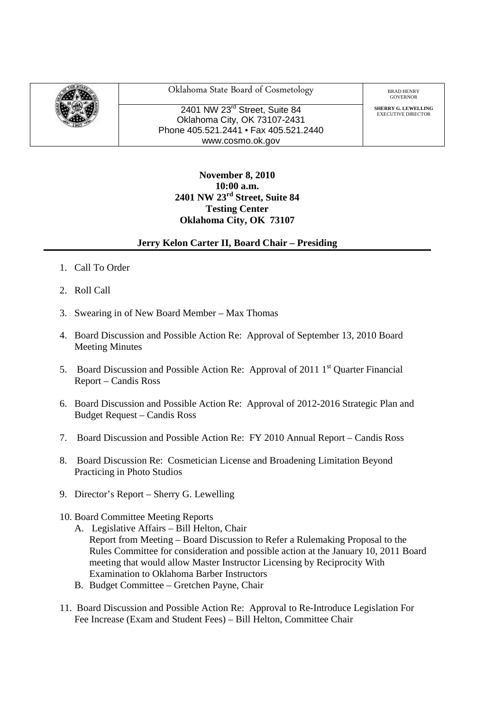

Oklahoma State Board of Cosmetology BRAD HENRY

2401 NW 23<sup>rd</sup> Street. Suite 84 Oklahoma City, OK 73107-2431 Phone 405.521.2441 • Fax 405.521.2440 www.cosmo.ok.gov

GOVERNOR

**SHERRY G. LEWELLING**<br>EXECUTIVE DIRECTOR

## **November 8, 2010 10:00 a.m. 2401 NW 23rd Street, Suite 84 Testing Center Oklahoma City, OK 73107**

## **Jerry Kelon Carter II, Board Chair – Presiding**

- 1. Call To Order
- 2. Roll Call
- 3. Swearing in of New Board Member Max Thomas
- 4. Board Discussion and Possible Action Re: Approval of September 13, 2010 Board Meeting Minutes
- 5. Board Discussion and Possible Action Re: Approval of 2011  $1<sup>st</sup>$  Quarter Financial Report – Candis Ross
- 6. Board Discussion and Possible Action Re: Approval of 2012-2016 Strategic Plan and Budget Request – Candis Ross
- 7. Board Discussion and Possible Action Re: FY 2010 Annual Report Candis Ross
- 8. Board Discussion Re: Cosmetician License and Broadening Limitation Beyond Practicing in Photo Studios
- 9. Director's Report Sherry G. Lewelling
- 10. Board Committee Meeting Reports
	- A. Legislative Affairs Bill Helton, Chair Report from Meeting – Board Discussion to Refer a Rulemaking Proposal to the Rules Committee for consideration and possible action at the January 10, 2011 Board meeting that would allow Master Instructor Licensing by Reciprocity With Examination to Oklahoma Barber Instructors
	- B. Budget Committee Gretchen Payne, Chair
- 11. Board Discussion and Possible Action Re: Approval to Re-Introduce Legislation For Fee Increase (Exam and Student Fees) – Bill Helton, Committee Chair